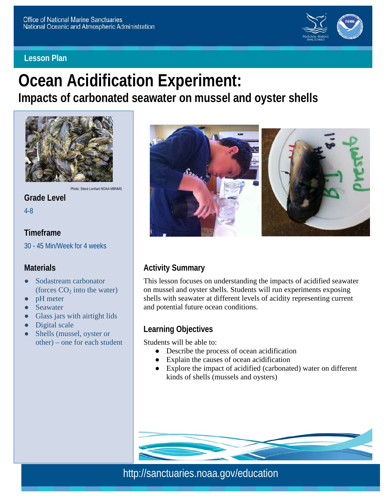## **Lesson Plan**



# **Ocean Acidification Experiment: Impacts of carbonated seawater on mussel and oyster shells**



Photo: Steve Lonhart NOAA MBNMS

**Grade Level** 4-8

## **Timeframe**

30 - 45 Min/Week for 4 weeks

## **Materials**

- Sodastream carbonator (forces  $CO<sub>2</sub>$  into the water)
- pH meter
- **Seawater**
- Glass jars with airtight lids
- **Digital scale**
- Shells (mussel, oyster or other) – one for each student



## **Activity Summary**

This lesson focuses on understanding the impacts of acidified seawater on mussel and oyster shells. Students will run experiments exposing shells with seawater at different levels of acidity representing current and potential future ocean conditions.

## **Learning Objectives**

Students will be able to:

- Describe the process of ocean acidification
- Explain the causes of ocean acidification
- Explore the impact of acidified (carbonated) water on different kinds of shells (mussels and oysters)

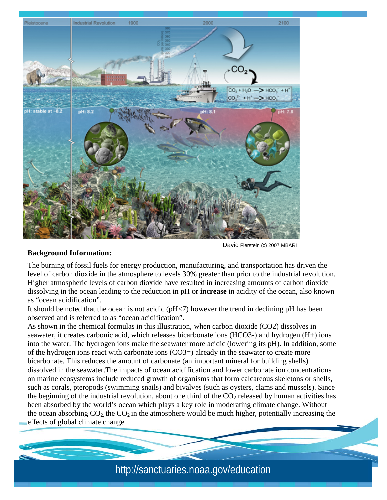

#### David Fierstein (c) 2007 MBARI

#### **Background Information:**

The burning of fossil fuels for energy production, manufacturing, and transportation has driven the level of carbon dioxide in the atmosphere to levels 30% greater than prior to the industrial revolution. Higher atmospheric levels of carbon dioxide have resulted in increasing amounts of carbon dioxide dissolving in the ocean leading to the reduction in pH or **increase** in acidity of the ocean, also known as "ocean acidification".

It should be noted that the ocean is not acidic (pH<7) however the trend in declining pH has been observed and is referred to as "ocean acidification".

As shown in the chemical formulas in this illustration, when carbon dioxide (CO2) dissolves in seawater, it creates carbonic acid, which releases bicarbonate ions (HCO3-) and hydrogen (H+) ions into the water. The hydrogen ions make the seawater more acidic (lowering its pH). In addition, some of the hydrogen ions react with carbonate ions (CO3=) already in the seawater to create more bicarbonate. This reduces the amount of carbonate (an important mineral for building shells) dissolved in the seawater.The impacts of ocean acidification and lower carbonate ion concentrations on marine ecosystems include reduced growth of organisms that form calcareous skeletons or shells, such as corals, pteropods (swimming snails) and bivalves (such as oysters, clams and mussels). Since the beginning of the industrial revolution, about one third of the  $CO<sub>2</sub>$  released by human activities has been absorbed by the world's ocean which plays a key role in moderating climate change. Without the ocean absorbing  $CO_2$ , the  $CO_2$  in the atmosphere would be much higher, potentially increasing the effects of global climate change.

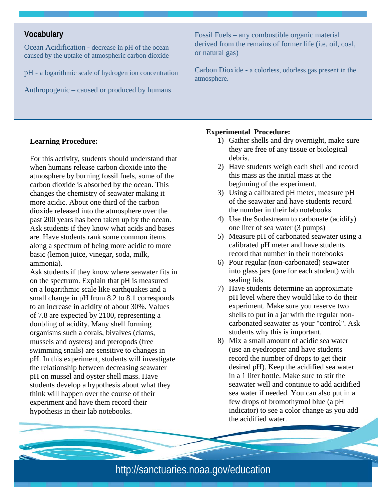### **Vocabulary**

Ocean Acidification - decrease in pH of the ocean caused by the uptake of atmospheric carbon dioxide

pH - a logarithmic scale of hydrogen ion concentration

Anthropogenic – caused or produced by humans

Fossil Fuels – any combustible organic material derived from the remains of former life (i.e. oil, coal, or natural gas)

Carbon Dioxide - a colorless, odorless gas present in the atmosphere.

#### **Learning Procedure:**

For this activity, students should understand that when humans release carbon dioxide into the atmosphere by burning fossil fuels, some of the carbon dioxide is absorbed by the ocean. This changes the chemistry of seawater making it more acidic. About one third of the carbon dioxide released into the atmosphere over the past 200 years has been taken up by the ocean. Ask students if they know what acids and bases are. Have students rank some common items along a spectrum of being more acidic to more basic (lemon juice, vinegar, soda, milk, ammonia).

Ask students if they know where seawater fits in on the spectrum. Explain that pH is measured on a logarithmic scale like earthquakes and a small change in pH from 8.2 to 8.1 corresponds to an increase in acidity of about 30%. Values of 7.8 are expected by 2100, representing a doubling of acidity. Many shell forming organisms such a corals, bivalves (clams, mussels and oysters) and pteropods (free swimming snails) are sensitive to changes in pH. In this experiment, students will investigate the relationship between decreasing seawater pH on mussel and oyster shell mass. Have students develop a hypothesis about what they think will happen over the course of their experiment and have them record their hypothesis in their lab notebooks.

#### **Experimental Procedure:**

- 1) Gather shells and dry overnight, make sure they are free of any tissue or biological debris.
- 2) Have students weigh each shell and record this mass as the initial mass at the beginning of the experiment.
- 3) Using a calibrated pH meter, measure pH of the seawater and have students record the number in their lab notebooks
- 4) Use the Sodastream to carbonate (acidify) one liter of sea water (3 pumps)
- 5) Measure pH of carbonated seawater using a calibrated pH meter and have students record that number in their notebooks
- 6) Pour regular (non-carbonated) seawater into glass jars (one for each student) with sealing lids.
- 7) Have students determine an approximate pH level where they would like to do their experiment. Make sure you reserve two shells to put in a jar with the regular noncarbonated seawater as your "control". Ask students why this is important.
- 8) Mix a small amount of acidic sea water (use an eyedropper and have students record the number of drops to get their desired pH). Keep the acidified sea water in a 1 liter bottle. Make sure to stir the seawater well and continue to add acidified sea water if needed. You can also put in a few drops of bromothymol blue (a pH indicator) to see a color change as you add the acidified water.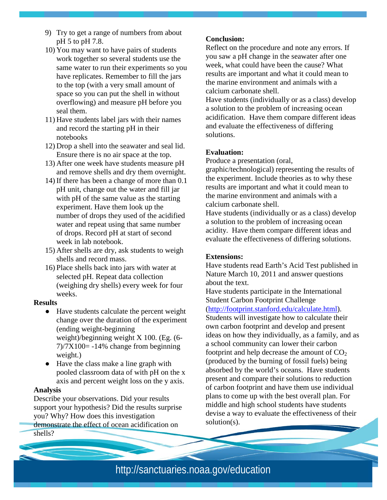- 9) Try to get a range of numbers from about pH 5 to pH 7.8.
- 10) You may want to have pairs of students work together so several students use the same water to run their experiments so you have replicates. Remember to fill the jars to the top (with a very small amount of space so you can put the shell in without overflowing) and measure pH before you seal them.
- 11) Have students label jars with their names and record the starting pH in their notebooks
- 12) Drop a shell into the seawater and seal lid. Ensure there is no air space at the top.
- 13) After one week have students measure pH and remove shells and dry them overnight.
- 14) If there has been a change of more than 0.1 pH unit, change out the water and fill jar with pH of the same value as the starting experiment. Have them look up the number of drops they used of the acidified water and repeat using that same number of drops. Record pH at start of second week in lab notebook.
- 15) After shells are dry, ask students to weigh shells and record mass.
- 16) Place shells back into jars with water at selected pH. Repeat data collection (weighing dry shells) every week for four weeks.

#### **Results**

- Have students calculate the percent weight change over the duration of the experiment (ending weight-beginning weight)/beginning weight X 100. (Eg. (6-  $7$ / $7X100=$  -14% change from beginning weight.)
- Have the class make a line graph with pooled classroom data of with pH on the x axis and percent weight loss on the y axis.

#### **Analysis**

Describe your observations. Did your results support your hypothesis? Did the results surprise you? Why? How does this investigation demonstrate the effect of ocean acidification on shells?

#### **Conclusion:**

Reflect on the procedure and note any errors. If you saw a pH change in the seawater after one week, what could have been the cause? What results are important and what it could mean to the marine environment and animals with a calcium carbonate shell.

Have students (individually or as a class) develop a solution to the problem of increasing ocean acidification. Have them compare different ideas and evaluate the effectiveness of differing solutions.

#### **Evaluation:**

Produce a presentation (oral,

graphic/technological) representing the results of the experiment. Include theories as to why these results are important and what it could mean to the marine environment and animals with a calcium carbonate shell.

Have students (individually or as a class) develop a solution to the problem of increasing ocean acidity. Have them compare different ideas and evaluate the effectiveness of differing solutions.

#### **Extensions:**

Have students read Earth's Acid Test published in Nature March 10, 2011 and answer questions about the text.

Have students participate in the International Student Carbon Footprint Challenge

[\(http://footprint.stanford.edu/calculate.html\)](http://footprint.stanford.edu/calculate.html). Students will investigate how to calculate their own carbon footprint and develop and present ideas on how they individually, as a family, and as a school community can lower their carbon footprint and help decrease the amount of  $CO<sub>2</sub>$ (produced by the burning of fossil fuels) being absorbed by the world's oceans. Have students present and compare their solutions to reduction of carbon footprint and have them use individual plans to come up with the best overall plan. For middle and high school students have students devise a way to evaluate the effectiveness of their solution(s).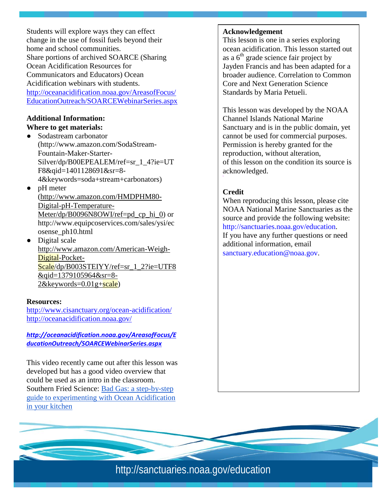Students will explore ways they can effect change in the use of fossil fuels beyond their home and school communities. Share portions of archived SOARCE (Sharing Ocean Acidification Resources for Communicators and Educators) Ocean Acidification webinars with students. [http://oceanacidification.noaa.gov/AreasofFocus/](http://oceanacidification.noaa.gov/AreasofFocus/EducationOutreach/SOARCEWebinarSeries.aspx) [EducationOutreach/SOARCEWebinarSeries.aspx](http://oceanacidification.noaa.gov/AreasofFocus/EducationOutreach/SOARCEWebinarSeries.aspx)

#### **Additional Information: Where to get materials:**

- Sodastream carbonator (http://www.amazon.com/SodaStream-Fountain-Maker-Starter-Silver/dp/B00EPEALEM/ref=sr\_1\_4?ie=UT F8&qid=1401128691&sr=8- 4&keywords=soda+stream+carbonators)
- pH meter [\(http://www.amazon.com/HMDPHM80-](http://www.amazon.com/HMDPHM80-Digital-pH-Temperature-Meter/dp/B0096N8OWI/ref=pd_cp_hi_0) [Digital-pH-Temperature-](http://www.amazon.com/HMDPHM80-Digital-pH-Temperature-Meter/dp/B0096N8OWI/ref=pd_cp_hi_0)[Meter/dp/B0096N8OWI/ref=pd\\_cp\\_hi\\_0\)](http://www.amazon.com/HMDPHM80-Digital-pH-Temperature-Meter/dp/B0096N8OWI/ref=pd_cp_hi_0) or http://www.equipcoservices.com/sales/ysi/ec osense\_ph10.html
- Digital scale [http://www.amazon.com/American-Weigh-](http://www.amazon.com/American-Weigh-Digital-Pocket-Scale/dp/B003STEIYY/ref=sr_1_2?ie=UTF8&qid=1379105964&sr=8-2&keywords=0.01g+scale)[Digital-Pocket-](http://www.amazon.com/American-Weigh-Digital-Pocket-Scale/dp/B003STEIYY/ref=sr_1_2?ie=UTF8&qid=1379105964&sr=8-2&keywords=0.01g+scale)[Scale/dp/B003STEIYY/ref=sr\\_1\\_2?ie=UTF8](http://www.amazon.com/American-Weigh-Digital-Pocket-Scale/dp/B003STEIYY/ref=sr_1_2?ie=UTF8&qid=1379105964&sr=8-2&keywords=0.01g+scale) [&qid=1379105964&sr=8-](http://www.amazon.com/American-Weigh-Digital-Pocket-Scale/dp/B003STEIYY/ref=sr_1_2?ie=UTF8&qid=1379105964&sr=8-2&keywords=0.01g+scale)  $2$ &keywords= $0.01$ g+scale)

#### **Resources:**

<http://www.cisanctuary.org/ocean-acidification/> <http://oceanacidification.noaa.gov/>

*[http://oceanacidification.noaa.gov/AreasofFocus/E](http://oceanacidification.noaa.gov/AreasofFocus/EducationOutreach/SOARCEWebinarSeries.aspx) [ducationOutreach/SOARCEWebinarSeries.aspx](http://oceanacidification.noaa.gov/AreasofFocus/EducationOutreach/SOARCEWebinarSeries.aspx)*

This video recently came out after this lesson was developed but has a good video overview that could be used as an intro in the classroom. Southern Fried Science: [Bad Gas: a step-by-step](http://www.southernfriedscience.com/?p=17260)  [guide to experimenting with Ocean Acidification](http://www.southernfriedscience.com/?p=17260)  [in your kitchen](http://www.southernfriedscience.com/?p=17260)

#### **Acknowledgement**

This lesson is one in a series exploring ocean acidification. This lesson started out as a  $6<sup>th</sup>$  grade science fair project by Jayden Francis and has been adapted for a broader audience. Correlation to Common Core and Next Generation Science Standards by Maria Petueli.

This lesson was developed by the NOAA Channel Islands National Marine Sanctuary and is in the public domain, yet cannot be used for commercial purposes. Permission is hereby granted for the reproduction, without alteration, of this lesson on the condition its source is acknowledged.

## **Credit**

When reproducing this lesson, please cite NOAA National Marine Sanctuaries as the source and provide the following website: http://sanctuaries.noaa.gov/education. If you have any further questions or need additional information, email sanctuary.education@noaa.gov.